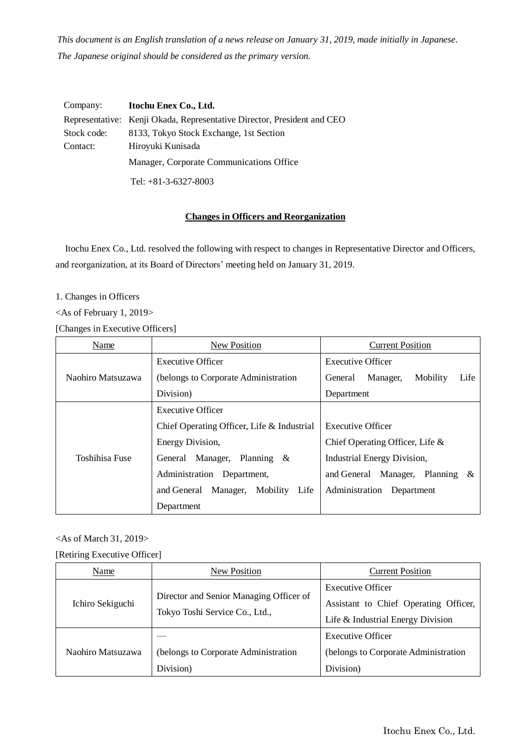*This document is an English translation of a news release on January 31, 2019, made initially in Japanese. The Japanese original should be considered as the primary version.*

| Company:    | Itochu Enex Co., Ltd.                                                   |
|-------------|-------------------------------------------------------------------------|
|             | Representative: Kenji Okada, Representative Director, President and CEO |
| Stock code: | 8133, Tokyo Stock Exchange, 1st Section                                 |
| Contact:    | Hiroyuki Kunisada                                                       |
|             | Manager, Corporate Communications Office                                |
|             | Tel: $+81-3-6327-8003$                                                  |

## **Changes in Officers and Reorganization**

Itochu Enex Co., Ltd. resolved the following with respect to changes in Representative Director and Officers, and reorganization, at its Board of Directors' meeting held on January 31, 2019.

1. Changes in Officers

<As of February 1, 2019>

[Changes in Executive Officers]

| Name              | New Position                                | <b>Current Position</b>                      |  |
|-------------------|---------------------------------------------|----------------------------------------------|--|
|                   | <b>Executive Officer</b>                    | <b>Executive Officer</b>                     |  |
| Naohiro Matsuzawa | (belongs to Corporate Administration)       | Mobility<br>Life<br>Manager,<br>General      |  |
|                   | Division)                                   | Department                                   |  |
| Toshihisa Fuse    | <b>Executive Officer</b>                    |                                              |  |
|                   | Chief Operating Officer, Life & Industrial  | <b>Executive Officer</b>                     |  |
|                   | Energy Division,                            | Chief Operating Officer, Life &              |  |
|                   | Planning $\&$<br>General Manager,           | <b>Industrial Energy Division,</b>           |  |
|                   | Administration<br>Department,               | Manager,<br>Planning<br>and General<br>$-\&$ |  |
|                   | Life<br>Mobility<br>Manager,<br>and General | Administration Department                    |  |
|                   | Department                                  |                                              |  |

<As of March 31, 2019>

[Retiring Executive Officer]

| Name              | New Position                                                              | <b>Current Position</b>               |
|-------------------|---------------------------------------------------------------------------|---------------------------------------|
| Ichiro Sekiguchi  | Director and Senior Managing Officer of<br>Tokyo Toshi Service Co., Ltd., | <b>Executive Officer</b>              |
|                   |                                                                           | Assistant to Chief Operating Officer, |
|                   |                                                                           | Life & Industrial Energy Division     |
| Naohiro Matsuzawa |                                                                           | <b>Executive Officer</b>              |
|                   | (belongs to Corporate Administration                                      | (belongs to Corporate Administration  |
|                   | Division)                                                                 | Division)                             |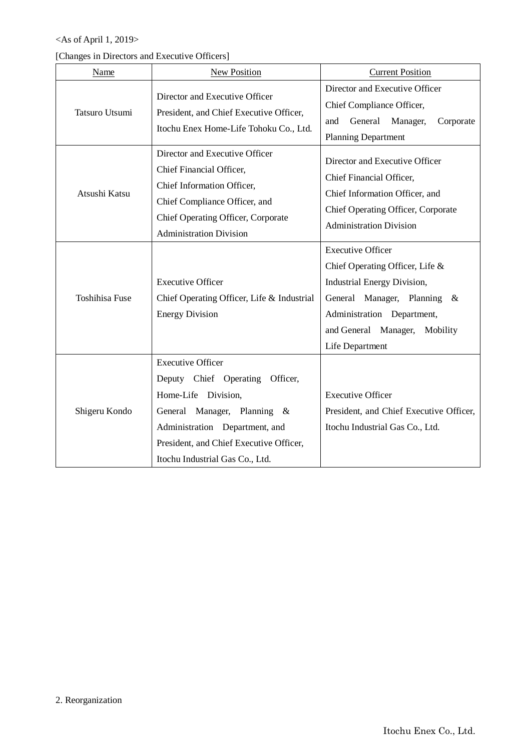# <As of April 1, 2019>

|  |  |  | [Changes in Directors and Executive Officers] |
|--|--|--|-----------------------------------------------|
|--|--|--|-----------------------------------------------|

| Name                  | <b>New Position</b>                                                                                                                                                                                                               | <b>Current Position</b>                                                                                                                                                                                            |
|-----------------------|-----------------------------------------------------------------------------------------------------------------------------------------------------------------------------------------------------------------------------------|--------------------------------------------------------------------------------------------------------------------------------------------------------------------------------------------------------------------|
| Tatsuro Utsumi        | Director and Executive Officer<br>President, and Chief Executive Officer,<br>Itochu Enex Home-Life Tohoku Co., Ltd.                                                                                                               | Director and Executive Officer<br>Chief Compliance Officer,<br>General<br>and<br>Manager,<br>Corporate<br><b>Planning Department</b>                                                                               |
| Atsushi Katsu         | Director and Executive Officer<br>Chief Financial Officer,<br>Chief Information Officer,<br>Chief Compliance Officer, and<br>Chief Operating Officer, Corporate<br><b>Administration Division</b>                                 | Director and Executive Officer<br>Chief Financial Officer,<br>Chief Information Officer, and<br>Chief Operating Officer, Corporate<br><b>Administration Division</b>                                               |
| <b>Toshihisa Fuse</b> | <b>Executive Officer</b><br>Chief Operating Officer, Life & Industrial<br><b>Energy Division</b>                                                                                                                                  | <b>Executive Officer</b><br>Chief Operating Officer, Life &<br><b>Industrial Energy Division,</b><br>General Manager, Planning &<br>Administration Department,<br>and General Manager, Mobility<br>Life Department |
| Shigeru Kondo         | <b>Executive Officer</b><br>Deputy Chief Operating Officer,<br>Home-Life Division,<br>General Manager, Planning &<br>Administration Department, and<br>President, and Chief Executive Officer,<br>Itochu Industrial Gas Co., Ltd. | <b>Executive Officer</b><br>President, and Chief Executive Officer,<br>Itochu Industrial Gas Co., Ltd.                                                                                                             |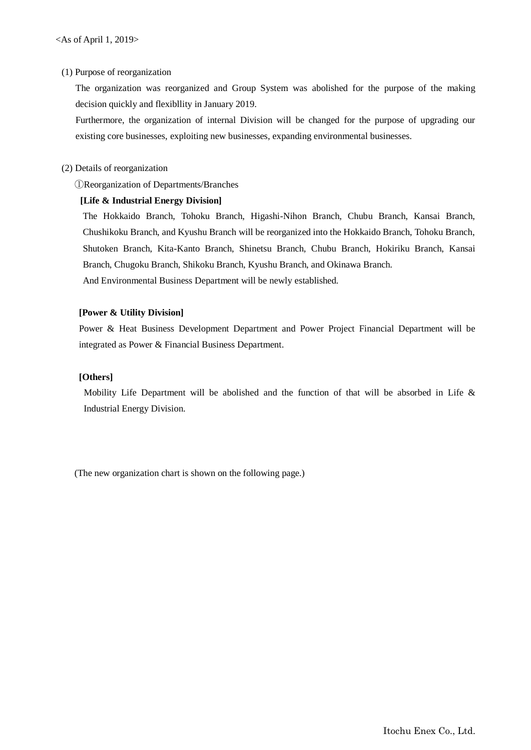#### (1) Purpose of reorganization

The organization was reorganized and Group System was abolished for the purpose of the making decision quickly and flexibllity in January 2019.

Furthermore, the organization of internal Division will be changed for the purpose of upgrading our existing core businesses, exploiting new businesses, expanding environmental businesses.

#### (2) Details of reorganization

①Reorganization of Departments/Branches

### **[Life & Industrial Energy Division]**

The Hokkaido Branch, Tohoku Branch, Higashi-Nihon Branch, Chubu Branch, Kansai Branch, Chushikoku Branch, and Kyushu Branch will be reorganized into the Hokkaido Branch, Tohoku Branch, Shutoken Branch, Kita-Kanto Branch, Shinetsu Branch, Chubu Branch, Hokiriku Branch, Kansai Branch, Chugoku Branch, Shikoku Branch, Kyushu Branch, and Okinawa Branch. And Environmental Business Department will be newly established.

#### **[Power & Utility Division]**

Power & Heat Business Development Department and Power Project Financial Department will be integrated as Power & Financial Business Department.

#### **[Others]**

Mobility Life Department will be abolished and the function of that will be absorbed in Life & Industrial Energy Division.

(The new organization chart is shown on the following page.)